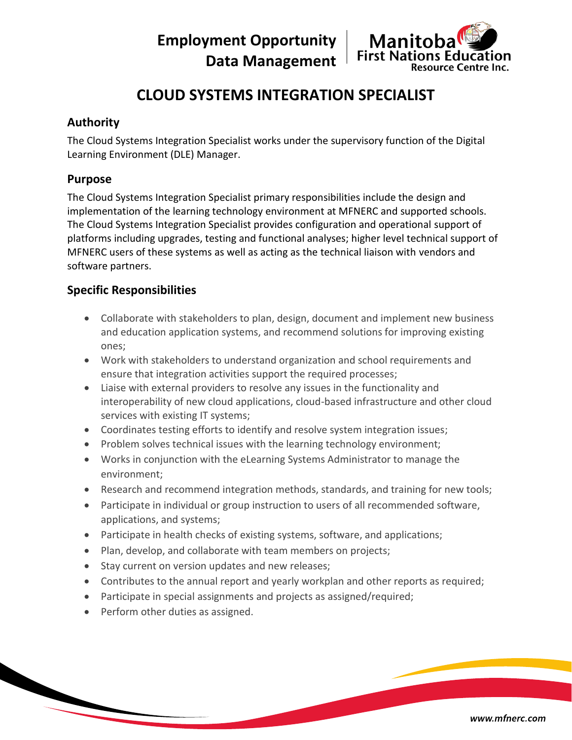**Employment Opportunity Data Management**



# **CLOUD SYSTEMS INTEGRATION SPECIALIST**

## **Authority**

The Cloud Systems Integration Specialist works under the supervisory function of the Digital Learning Environment (DLE) Manager.

#### **Purpose**

The Cloud Systems Integration Specialist primary responsibilities include the design and implementation of the learning technology environment at MFNERC and supported schools. The Cloud Systems Integration Specialist provides configuration and operational support of platforms including upgrades, testing and functional analyses; higher level technical support of MFNERC users of these systems as well as acting as the technical liaison with vendors and software partners.

## **Specific Responsibilities**

- Collaborate with stakeholders to plan, design, document and implement new business and education application systems, and recommend solutions for improving existing ones;
- Work with stakeholders to understand organization and school requirements and ensure that integration activities support the required processes;
- Liaise with external providers to resolve any issues in the functionality and interoperability of new cloud applications, cloud-based infrastructure and other cloud services with existing IT systems;
- Coordinates testing efforts to identify and resolve system integration issues;
- Problem solves technical issues with the learning technology environment;
- Works in conjunction with the eLearning Systems Administrator to manage the environment;
- Research and recommend integration methods, standards, and training for new tools;
- Participate in individual or group instruction to users of all recommended software, applications, and systems;
- Participate in health checks of existing systems, software, and applications;
- Plan, develop, and collaborate with team members on projects;
- Stay current on version updates and new releases;
- Contributes to the annual report and yearly workplan and other reports as required;
- Participate in special assignments and projects as assigned/required;
- Perform other duties as assigned.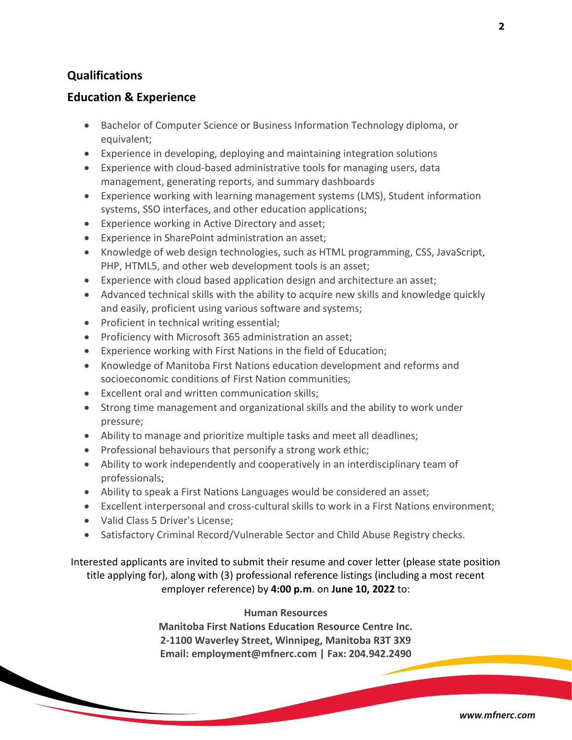## **Qualifications**

#### **Education & Experience**

- Bachelor of Computer Science or Business Information Technology diploma, or equivalent;
- Experience in developing, deploying and maintaining integration solutions
- Experience with cloud-based administrative tools for managing users, data management, generating reports, and summary dashboards
- Experience working with learning management systems (LMS), Student information systems, SSO interfaces, and other education applications;
- Experience working in Active Directory and asset;
- Experience in SharePoint administration an asset;
- Knowledge of web design technologies, such as HTML programming, CSS, JavaScript, PHP, HTML5, and other web development tools is an asset;
- Experience with cloud based application design and architecture an asset;
- Advanced technical skills with the ability to acquire new skills and knowledge quickly and easily, proficient using various software and systems;
- Proficient in technical writing essential;
- Proficiency with Microsoft 365 administration an asset;
- Experience working with First Nations in the field of Education;
- Knowledge of Manitoba First Nations education development and reforms and socioeconomic conditions of First Nation communities;
- Excellent oral and written communication skills;
- Strong time management and organizational skills and the ability to work under pressure;
- Ability to manage and prioritize multiple tasks and meet all deadlines;
- Professional behaviours that personify a strong work ethic;
- Ability to work independently and cooperatively in an interdisciplinary team of professionals;
- Ability to speak a First Nations Languages would be considered an asset;
- Excellent interpersonal and cross-cultural skills to work in a First Nations environment;
- Valid Class 5 Driver's License;
- Satisfactory Criminal Record/Vulnerable Sector and Child Abuse Registry checks.

Interested applicants are invited to submit their resume and cover letter (please state position title applying for), along with (3) professional reference listings (including a most recent employer reference) by **4:00 p.m**. on **June 10, 2022** to:

#### **Human Resources**

**Manitoba First Nations Education Resource Centre Inc. 2-1100 Waverley Street, Winnipeg, Manitoba R3T 3X9 Email: employment@mfnerc.com | Fax: 204.942.2490**